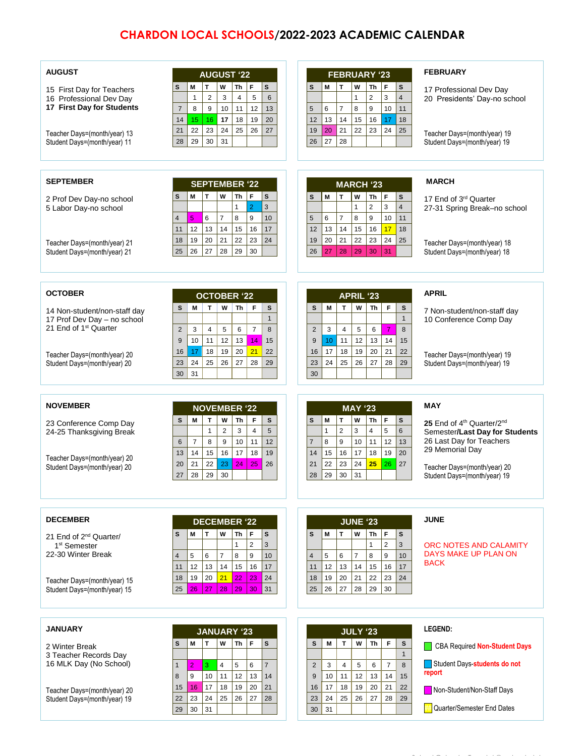## **CHARDON LOCAL SCHOOLS/2022-2023 ACADEMIC CALENDAR**

| <b>AUGUST</b><br>15 First Day for Teachers<br>16 Professional Dev Day<br>17 First Day for Students<br>Teacher Days=(month/year) 13<br>Student Days=(month/year) 11      | <b>AUGUST '22</b><br>$\mathbf{T}$<br>W<br>F<br>s<br>M<br><b>Th</b><br>s<br>$\overline{c}$<br>3<br>5<br>6<br>4<br>$\mathbf{1}$<br>12<br>$\overline{7}$<br>8<br>9<br>10<br>11<br>13<br>18<br>19<br>20<br>14<br>15<br>16<br>17<br>22<br>23<br>26<br>24<br>25<br>27<br>21<br>30<br>29<br>31<br>28                   | <b>FEBRUARY '23</b><br>T<br>$\mathbf{s}$<br>М<br>W<br>Th<br>F<br>s<br>$\overline{2}$<br>3<br>4<br>1<br>$\overline{7}$<br>6<br>8<br>9<br>10<br>11<br>5<br>14<br>12<br>13<br>16<br>18<br>15<br>17<br>21<br>20<br>22<br>23<br>24<br>19<br>25<br>27<br>28<br>26                               | <b>FEBRUARY</b><br>17 Professional Dev Day<br>20 Presidents' Day-no school<br>Teacher Days=(month/year) 19<br>Student Days=(month/year) 19                                                                       |
|-------------------------------------------------------------------------------------------------------------------------------------------------------------------------|-----------------------------------------------------------------------------------------------------------------------------------------------------------------------------------------------------------------------------------------------------------------------------------------------------------------|-------------------------------------------------------------------------------------------------------------------------------------------------------------------------------------------------------------------------------------------------------------------------------------------|------------------------------------------------------------------------------------------------------------------------------------------------------------------------------------------------------------------|
| <b>SEPTEMBER</b>                                                                                                                                                        |                                                                                                                                                                                                                                                                                                                 |                                                                                                                                                                                                                                                                                           | <b>MARCH</b>                                                                                                                                                                                                     |
| 2 Prof Dev Day-no school<br>5 Labor Day-no school                                                                                                                       | <b>SEPTEMBER '22</b><br>$\mathbf{T}$<br>W<br>Th<br>F<br>M<br>s<br>s<br>$\overline{2}$<br>3<br>$\mathbf{1}$<br>$\overline{7}$<br>9<br>6<br>8<br>10<br>5<br>4<br>12<br>13<br>14<br>17<br>15<br>16<br>11                                                                                                           | <b>MARCH '23</b><br>T<br>F<br>M<br>W<br>Th<br>s<br>s<br>$\overline{2}$<br>3<br>$\overline{4}$<br>$\mathbf{1}$<br>$\overline{7}$<br>8<br>9<br>10<br>11<br>5<br>6<br>14<br>12<br>13<br>15<br>16<br>17<br>18                                                                                 | 17 End of 3 <sup>rd</sup> Quarter<br>27-31 Spring Break-no school                                                                                                                                                |
| Teacher Days=(month/year) 21<br>Student Days=(month/year) 21                                                                                                            | 19<br>20<br>21<br>24<br>18<br>22<br>23<br>26<br>27<br>28<br>30<br>25<br>29                                                                                                                                                                                                                                      | 20<br>21<br>19<br>22<br>23<br>24<br>25<br>27<br>28<br>26<br>29<br>30<br>31                                                                                                                                                                                                                | Teacher Days=(month/year) 18<br>Student Days=(month/year) 18                                                                                                                                                     |
| <b>OCTOBER</b>                                                                                                                                                          | <b>OCTOBER '22</b>                                                                                                                                                                                                                                                                                              | <b>APRIL '23</b>                                                                                                                                                                                                                                                                          | <b>APRIL</b>                                                                                                                                                                                                     |
| 14 Non-student/non-staff day<br>17 Prof Dev Day - no school<br>21 End of 1 <sup>st</sup> Quarter                                                                        | T.<br>w  <br>F<br>s<br>s<br>м<br>Th<br>$\mathbf{1}$<br>$\overline{2}$<br>3<br>5<br>$\overline{7}$<br>8<br>4<br>6<br>10<br>12<br>9<br>11<br>13<br>14<br>15                                                                                                                                                       | W<br>F<br>S<br>M<br>T<br>Th<br>S<br>$\mathbf{1}$<br>$\overline{2}$<br>3<br>$\overline{7}$<br>5<br>8<br>4<br>6<br>9<br>10<br>11<br>12<br>14<br>13<br>15                                                                                                                                    | 7 Non-student/non-staff day<br>10 Conference Comp Dav                                                                                                                                                            |
| Teacher Days=(month/year) 20<br>Student Days=(month/year) 20                                                                                                            | 17<br>18<br>19<br>20<br>21<br>22<br>16<br>24<br>25<br>26<br>27<br>28<br>29<br>23<br>31<br>30                                                                                                                                                                                                                    | 17<br>18<br>19<br>20<br>21<br>16<br>22<br>25<br>24<br>26<br>27<br>28<br>23<br>29<br>30                                                                                                                                                                                                    | Teacher Days=(month/year) 19<br>Student Days=(month/year) 19                                                                                                                                                     |
|                                                                                                                                                                         |                                                                                                                                                                                                                                                                                                                 |                                                                                                                                                                                                                                                                                           |                                                                                                                                                                                                                  |
|                                                                                                                                                                         |                                                                                                                                                                                                                                                                                                                 |                                                                                                                                                                                                                                                                                           |                                                                                                                                                                                                                  |
| <b>NOVEMBER</b><br>23 Conference Comp Day<br>24-25 Thanksgiving Break<br>Teacher Days=(month/year) 20<br>Student Days=(month/year) 20                                   | <b>NOVEMBER '22</b><br>$\mathbf T$<br>M<br>W<br>Th<br>F<br>S<br>s<br>$\overline{4}$<br>5<br>$\mathbf{1}$<br>$\overline{2}$<br>3<br>$\overline{7}$<br>8<br>$9\,$<br>10<br>12<br>$6\phantom{1}$<br>11<br>14<br>15<br>16<br>17<br>18<br>13<br>19<br>22<br>21<br>23<br>24<br>26<br>20<br>25<br>28<br>29<br>30<br>27 | <b>MAY '23</b><br>T<br>F<br>M<br>W<br>Th<br>S<br>s<br>$\overline{2}$<br>5<br>3<br>4<br>6<br>$\mathbf{1}$<br>9<br>8<br>11<br>12<br>$\overline{7}$<br>10<br>13<br>16<br>15<br>17<br>18<br>19<br>20<br>14<br>22<br>23<br>25<br>21<br>24<br>26<br>27<br>28<br>29<br>30<br>31                  | <b>MAY</b><br>25 End of 4 <sup>th</sup> Quarter/2 <sup>nd</sup><br>Semester/Last Day for Students<br>26 Last Day for Teachers<br>29 Memorial Day<br>Teacher Days=(month/year) 20<br>Student Days=(month/year) 19 |
|                                                                                                                                                                         |                                                                                                                                                                                                                                                                                                                 |                                                                                                                                                                                                                                                                                           |                                                                                                                                                                                                                  |
| <b>DECEMBER</b><br>21 End of 2 <sup>nd</sup> Quarter/<br>1 <sup>st</sup> Semester<br>22-30 Winter Break<br>Teacher Days=(month/year) 15<br>Student Days=(month/year) 15 | <b>DECEMBER '22</b><br>T<br>W<br>Th<br>F<br>M<br>s<br>s<br>$\overline{2}$<br>3<br>$\mathbf{1}$<br>$\overline{7}$<br>9<br>10<br>5<br>6<br>8<br>4<br>12<br>13<br>14<br>15<br>16<br>17<br>11<br>20<br>21<br>19<br>24<br>18<br>22<br>23<br>27<br>28<br>30<br>31<br>25<br>26<br>29                                   | <b>JUNE '23</b><br>W<br>F<br>M<br>T<br><b>Th</b><br>s<br>s<br>$\overline{2}$<br>$\mathbf{1}$<br>3<br>$\overline{7}$<br>8<br>9<br>5<br>6<br>10<br>4<br>17<br>12<br>13<br>14<br>15<br>16<br>11<br>19<br>20<br>21<br>22<br>23<br>24<br>18<br>26<br>27<br>25<br>28<br>29<br>30                | <b>JUNE</b><br>ORC NOTES AND CALAMITY<br>DAYS MAKE UP PLAN ON<br><b>BACK</b>                                                                                                                                     |
|                                                                                                                                                                         |                                                                                                                                                                                                                                                                                                                 |                                                                                                                                                                                                                                                                                           |                                                                                                                                                                                                                  |
| <b>JANUARY</b><br>2 Winter Break<br>3 Teacher Records Day<br>16 MLK Day (No School)<br>Teacher Days=(month/year) 20<br>Student Days=(month/year) 19                     | <b>JANUARY '23</b><br>$\mathbf{T}$<br>W<br>Th $ F $<br>M<br>s<br>s<br>$\overline{4}$<br>3<br>5<br>6<br>$\overline{7}$<br>$\overline{2}$<br>1<br>11<br>9<br>10<br>12<br>13<br>14<br>8<br>21<br>17<br>18<br>20<br>16<br>19<br>15<br>23<br>24<br>25<br>26<br>27<br>28<br>22<br>31<br>30<br>29                      | <b>JULY '23</b><br>F.<br>s<br>M<br>T<br>W  <br>Th<br>S<br>$\mathbf{1}$<br>$\overline{7}$<br>8<br>3<br>$\overline{4}$<br>5<br>6<br>$\overline{2}$<br>14<br>10<br>11<br>15<br>9<br>12<br>13<br>17<br>18<br>19<br>20<br>21<br>22<br>16<br>27<br>24<br>25<br>26<br>28<br>29<br>23<br>31<br>30 | <b>LEGEND:</b><br><b>CBA Required Non-Student Days</b><br>Student Days-students do not<br>report<br>Non-Student/Non-Staff Days<br><b>D</b> Quarter/Semester End Dates                                            |